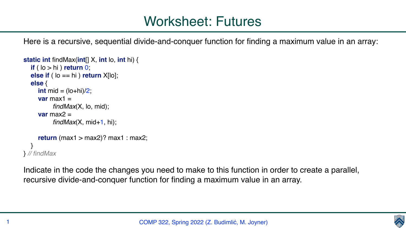Here is a recursive, sequential divide-and-conquer function for finding a maximum value in an array:

```
static int findMax(int[] X, int lo, int hi) { 
   if ( lo > hi ) return 0; 
   else if ( lo == hi ) return X[lo]; 
   else { 
     int mid = (\text{lo+hi})/2;
     var{max1} =
            findMax(X, lo, mid); 
     var max2 =findMax(X, mid+1, hi);
     return (max1 > max2)? max1 : max2;
 } 
} // findMax
```
Indicate in the code the changes you need to make to this function in order to create a parallel, recursive divide-and-conquer function for finding a maximum value in an array.

COMP 322, Spring 2022 (Z. Budimlić, M. Joyner)